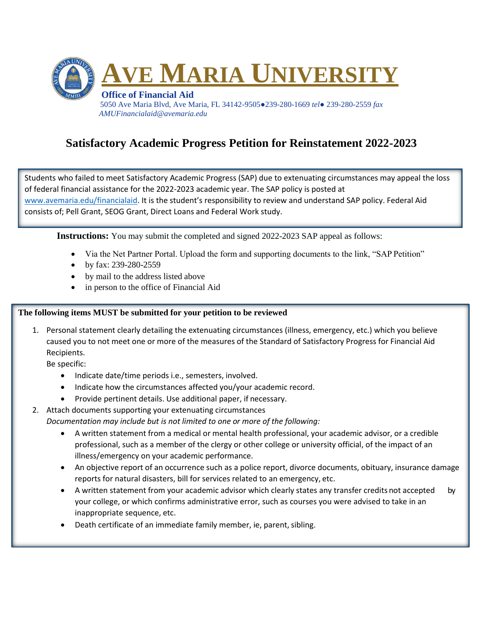

## **Satisfactory Academic Progress Petition for Reinstatement 2022-2023**

Students who failed to meet Satisfactory Academic Progress (SAP) due to extenuating circumstances may appeal the loss of federal financial assistance for the 2022-2023 academic year. The SAP policy is posted at [www.avemaria.edu/financialaid.](http://www.avemaria.edu/financialaid) It is the student's responsibility to review and understand SAP policy. Federal Aid consists of; Pell Grant, SEOG Grant, Direct Loans and Federal Work study.

**Instructions:** You may submit the completed and signed 2022-2023 SAP appeal as follows:

- Via the Net Partner Portal. Upload the form and supporting documents to the link, "SAP Petition"
- by fax: 239-280-2559
- by mail to the address listed above
- in person to the office of Financial Aid

## **The following items MUST be submitted for your petition to be reviewed**

1. Personal statement clearly detailing the extenuating circumstances (illness, emergency, etc.) which you believe caused you to not meet one or more of the measures of the Standard of Satisfactory Progress for Financial Aid Recipients.

Be specific:

- Indicate date/time periods i.e., semesters, involved.
- Indicate how the circumstances affected you/your academic record.
- Provide pertinent details. Use additional paper, if necessary.
- 2. Attach documents supporting your extenuating circumstances

*Documentation may include but is not limited to one or more of the following:*

- A written statement from a medical or mental health professional, your academic advisor, or a credible professional, such as a member of the clergy or other college or university official, of the impact of an illness/emergency on your academic performance.
- An objective report of an occurrence such as a police report, divorce documents, obituary, insurance damage reports for natural disasters, bill for services related to an emergency, etc.
- A written statement from your academic advisor which clearly states any transfer credits not accepted by your college, or which confirms administrative error, such as courses you were advised to take in an inappropriate sequence, etc.
- Death certificate of an immediate family member, ie, parent, sibling.